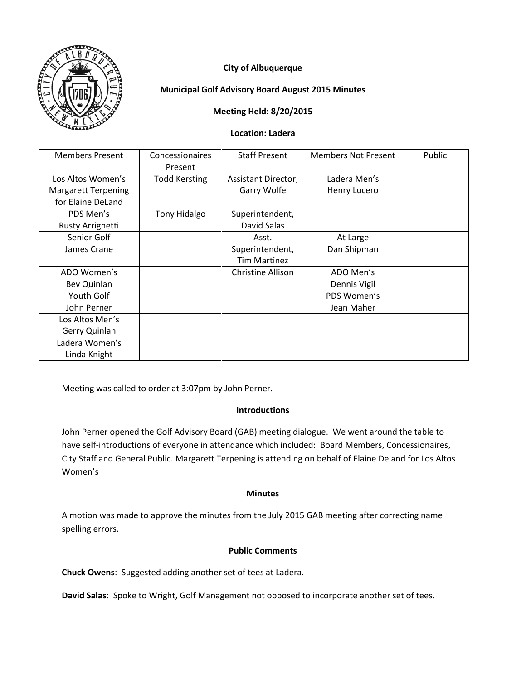

# **City of Albuquerque**

## **Municipal Golf Advisory Board August 2015 Minutes**

## **Meeting Held: 8/20/2015**

#### **Location: Ladera**

| <b>Members Present</b>     | Concessionaires      | <b>Staff Present</b> | <b>Members Not Present</b> | Public |
|----------------------------|----------------------|----------------------|----------------------------|--------|
|                            | Present              |                      |                            |        |
| Los Altos Women's          | <b>Todd Kersting</b> | Assistant Director,  | Ladera Men's               |        |
| <b>Margarett Terpening</b> |                      | Garry Wolfe          | Henry Lucero               |        |
| for Elaine DeLand          |                      |                      |                            |        |
| PDS Men's                  | <b>Tony Hidalgo</b>  | Superintendent,      |                            |        |
| Rusty Arrighetti           |                      | David Salas          |                            |        |
| Senior Golf                |                      | Asst.                | At Large                   |        |
| James Crane                |                      | Superintendent,      | Dan Shipman                |        |
|                            |                      | <b>Tim Martinez</b>  |                            |        |
| ADO Women's                |                      | Christine Allison    | ADO Men's                  |        |
| Bev Quinlan                |                      |                      | Dennis Vigil               |        |
| Youth Golf                 |                      |                      | PDS Women's                |        |
| John Perner                |                      |                      | Jean Maher                 |        |
| Los Altos Men's            |                      |                      |                            |        |
| Gerry Quinlan              |                      |                      |                            |        |
| Ladera Women's             |                      |                      |                            |        |
| Linda Knight               |                      |                      |                            |        |

Meeting was called to order at 3:07pm by John Perner.

## **Introductions**

John Perner opened the Golf Advisory Board (GAB) meeting dialogue. We went around the table to have self-introductions of everyone in attendance which included: Board Members, Concessionaires, City Staff and General Public. Margarett Terpening is attending on behalf of Elaine Deland for Los Altos Women's

## **Minutes**

A motion was made to approve the minutes from the July 2015 GAB meeting after correcting name spelling errors.

## **Public Comments**

**Chuck Owens**: Suggested adding another set of tees at Ladera.

**David Salas**: Spoke to Wright, Golf Management not opposed to incorporate another set of tees.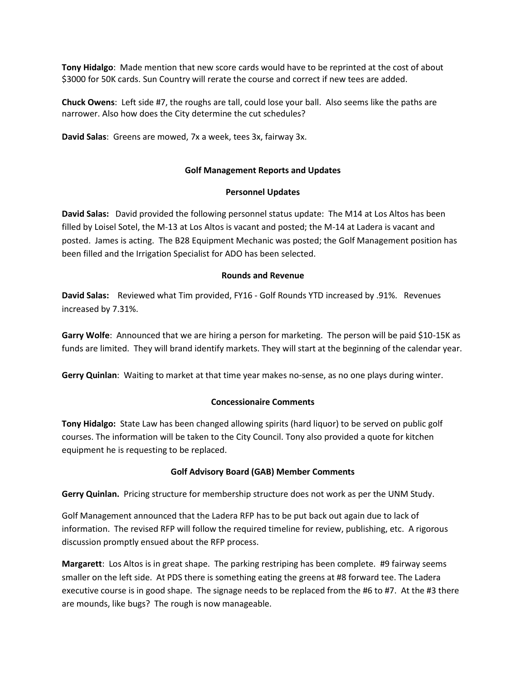**Tony Hidalgo**: Made mention that new score cards would have to be reprinted at the cost of about \$3000 for 50K cards. Sun Country will rerate the course and correct if new tees are added.

**Chuck Owens**: Left side #7, the roughs are tall, could lose your ball. Also seems like the paths are narrower. Also how does the City determine the cut schedules?

**David Salas**: Greens are mowed, 7x a week, tees 3x, fairway 3x.

#### **Golf Management Reports and Updates**

#### **Personnel Updates**

**David Salas:** David provided the following personnel status update: The M14 at Los Altos has been filled by Loisel Sotel, the M-13 at Los Altos is vacant and posted; the M-14 at Ladera is vacant and posted. James is acting. The B28 Equipment Mechanic was posted; the Golf Management position has been filled and the Irrigation Specialist for ADO has been selected.

#### **Rounds and Revenue**

**David Salas:** Reviewed what Tim provided, FY16 - Golf Rounds YTD increased by .91%. Revenues increased by 7.31%.

**Garry Wolfe**: Announced that we are hiring a person for marketing. The person will be paid \$10-15K as funds are limited. They will brand identify markets. They will start at the beginning of the calendar year.

**Gerry Quinlan**: Waiting to market at that time year makes no-sense, as no one plays during winter.

## **Concessionaire Comments**

**Tony Hidalgo:** State Law has been changed allowing spirits (hard liquor) to be served on public golf courses. The information will be taken to the City Council. Tony also provided a quote for kitchen equipment he is requesting to be replaced.

## **Golf Advisory Board (GAB) Member Comments**

**Gerry Quinlan.** Pricing structure for membership structure does not work as per the UNM Study.

Golf Management announced that the Ladera RFP has to be put back out again due to lack of information. The revised RFP will follow the required timeline for review, publishing, etc. A rigorous discussion promptly ensued about the RFP process.

**Margarett**: Los Altos is in great shape. The parking restriping has been complete. #9 fairway seems smaller on the left side. At PDS there is something eating the greens at #8 forward tee. The Ladera executive course is in good shape. The signage needs to be replaced from the #6 to #7. At the #3 there are mounds, like bugs? The rough is now manageable.